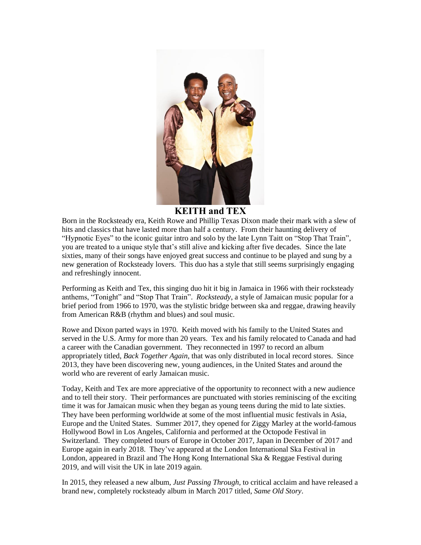

## **KEITH and TEX**

Born in the Rocksteady era, Keith Rowe and Phillip Texas Dixon made their mark with a slew of hits and classics that have lasted more than half a century. From their haunting delivery of "Hypnotic Eyes" to the iconic guitar intro and solo by the late Lynn Taitt on "Stop That Train", you are treated to a unique style that's still alive and kicking after five decades. Since the late sixties, many of their songs have enjoyed great success and continue to be played and sung by a new generation of Rocksteady lovers. This duo has a style that still seems surprisingly engaging and refreshingly innocent.

Performing as Keith and Tex, this singing duo hit it big in Jamaica in 1966 with their rocksteady anthems, "Tonight" and "Stop That Train". *Rocksteady*, a style of Jamaican music popular for a brief period from 1966 to 1970, was the stylistic bridge between ska and reggae, drawing heavily from American R&B (rhythm and blues) and soul music.

Rowe and Dixon parted ways in 1970. Keith moved with his family to the United States and served in the U.S. Army for more than 20 years. Tex and his family relocated to Canada and had a career with the Canadian government. They reconnected in 1997 to record an album appropriately titled, *Back Together Again*, that was only distributed in local record stores. Since 2013, they have been discovering new, young audiences, in the United States and around the world who are reverent of early Jamaican music.

Today, Keith and Tex are more appreciative of the opportunity to reconnect with a new audience and to tell their story. Their performances are punctuated with stories reminiscing of the exciting time it was for Jamaican music when they began as young teens during the mid to late sixties. They have been performing worldwide at some of the most influential music festivals in Asia, Europe and the United States. Summer 2017, they opened for Ziggy Marley at the world-famous Hollywood Bowl in Los Angeles, California and performed at the Octopode Festival in Switzerland. They completed tours of Europe in October 2017, Japan in December of 2017 and Europe again in early 2018. They've appeared at the London International Ska Festival in London, appeared in Brazil and The Hong Kong International Ska & Reggae Festival during 2019, and will visit the UK in late 2019 again.

In 2015, they released a new album, *Just Passing Through*, to critical acclaim and have released a brand new, completely rocksteady album in March 2017 titled, *Same Old Story*.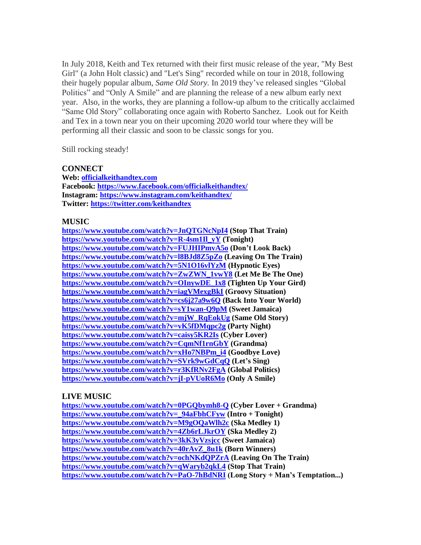In July 2018, Keith and Tex returned with their first music release of the year, "My Best Girl" (a John Holt classic) and "Let's Sing" recorded while on tour in 2018, following their hugely popular album, *Same Old Story.* In 2019 they've released singles "Global Politics" and "Only A Smile" and are planning the release of a new album early next year. Also, in the works, they are planning a follow-up album to the critically acclaimed "Same Old Story" collaborating once again with Roberto Sanchez. Look out for Keith and Tex in a town near you on their upcoming 2020 world tour where they will be performing all their classic and soon to be classic songs for you.

Still rocking steady!

## **CONNECT**

**Web: [officialkeithandtex.com](http://officialkeithandtex.com/) Facebook:<https://www.facebook.com/officialkeithandtex/> Instagram:<https://www.instagram.com/keithandtex/> Twitter:<https://twitter.com/keithandtex>**

## **MUSIC**

**<https://www.youtube.com/watch?v=JnQTGNcNpI4> (Stop That Train) [https://www.youtube.com/watch?v=R-4sm1Il\\_yY](https://www.youtube.com/watch?v=R-4sm1Il_yY%20) (Tonight) <https://www.youtube.com/watch?v=FUJHIPmvA5o> (Don't Look Back) [https://www.youtube.com/watch?v=l8BJd8Z5pZo](https://www.youtube.com/watch?v=l8BJd8Z5pZo%20) (Leaving On The Train) [https://www.youtube.com/watch?v=5N1O16vlYzM](https://www.youtube.com/watch?v=5N1O16vlYzM%20) (Hypnotic Eyes) [https://www.youtube.com/watch?v=ZwZWN\\_1vwY8](https://www.youtube.com/watch?v=ZwZWN_1vwY8%20) (Let Me Be The One) [https://www.youtube.com/watch?v=OInywDE\\_1x8](https://www.youtube.com/watch?v=OInywDE_1x8%20) (Tighten Up Your Gird) [https://www.youtube.com/watch?v=iagVMexgBkI](https://www.youtube.com/watch?v=iagVMexgBkI%20) (Groovy Situation) [https://www.youtube.com/watch?v=cs6j27a9w6Q](https://www.youtube.com/watch?v=cs6j27a9w6Q%20) (Back Into Your World) [https://www.youtube.com/watch?v=sY1wan-Q9pM](https://www.youtube.com/watch?v=sY1wan-Q9pM%20) (Sweet Jamaica) [https://www.youtube.com/watch?v=mjW\\_RqEokUg](https://www.youtube.com/watch?v=mjW_RqEokUg%20) (Same Old Story) [https://www.youtube.com/watch?v=vK5fDMqpc2g](https://www.youtube.com/watch?v=vK5fDMqpc2g%20) (Party Night) [https://www.youtube.com/watch?v=caisy5KR2Is](https://www.youtube.com/watch?v=caisy5KR2Is%20) (Cyber Lover) [https://www.youtube.com/watch?v=CqmNf1rnGbY](https://www.youtube.com/watch?v=CqmNf1rnGbY%20) (Grandma) [https://www.youtube.com/watch?v=xHo7NBPm\\_i4](https://www.youtube.com/watch?v=xHo7NBPm_i4%20) (Goodbye Love) <https://www.youtube.com/watch?v=SVrk9wGdCqQ> (Let's Sing) <https://www.youtube.com/watch?v=r3KfRNv2FgA> (Global Politics) <https://www.youtube.com/watch?v=jI-pVUoR6Mo> (Only A Smile)**

## **LIVE MUSIC**

**<https://www.youtube.com/watch?v=0PGQbymh8-Q> (Cyber Lover + Grandma) [https://www.youtube.com/watch?v=\\_94aFbhCFyw](https://www.youtube.com/watch?v=_94aFbhCFyw%20) (Intro + Tonight) [https://www.youtube.com/watch?v=M9gOQaWlh2c](https://www.youtube.com/watch?v=M9gOQaWlh2c%20) (Ska Medley 1) [https://www.youtube.com/watch?v=4Zb6rLJkrOY](https://www.youtube.com/watch?v=4Zb6rLJkrOY%20) (Ska Medley 2) <https://www.youtube.com/watch?v=3kK3yVzsjcc> (Sweet Jamaica) [https://www.youtube.com/watch?v=40rAvZ\\_8u1k](https://www.youtube.com/watch?v=40rAvZ_8u1k%20) (Born Winners) <https://www.youtube.com/watch?v=ochNKdQPZrA> (Leaving On The Train) <https://www.youtube.com/watch?v=qWaryb2qkL4> (Stop That Train) <https://www.youtube.com/watch?v=PaO-7hBdNRI> (Long Story + Man's Temptation...)**